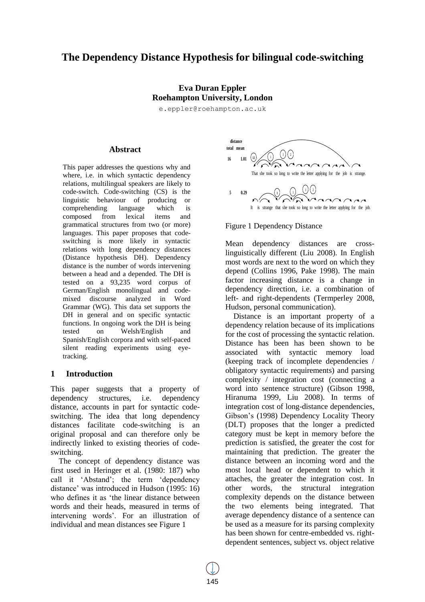# **The Dependency Distance Hypothesis for bilingual code-switching**

# **Eva Duran Eppler Roehampton University, London**

e.eppler@roehampton.ac.uk

#### **Abstract**

This paper addresses the questions why and where, i.e. in which syntactic dependency relations, multilingual speakers are likely to code-switch. Code-switching (CS) is the linguistic behaviour of producing or comprehending language which is composed from lexical items and grammatical structures from two (or more) languages. This paper proposes that codeswitching is more likely in syntactic relations with long dependency distances (Distance hypothesis DH). Dependency distance is the number of words intervening between a head and a depended. The DH is tested on a 93,235 word corpus of German/English monolingual and codemixed discourse analyzed in Word Grammar (WG). This data set supports the DH in general and on specific syntactic functions. In ongoing work the DH is being tested on Welsh/English and Spanish/English corpora and with self-paced silent reading experiments using eyetracking.

#### **1 Introduction**

This paper suggests that a property of dependency structures, i.e. dependency distance, accounts in part for syntactic codeswitching. The idea that long dependency distances facilitate code-switching is an original proposal and can therefore only be indirectly linked to existing theories of codeswitching.

The concept of dependency distance was first used in Heringer et al. (1980: 187) who call it 'Abstand'; the term 'dependency distance' was introduced in Hudson (1995: 16) who defines it as 'the linear distance between words and their heads, measured in terms of intervening words'. For an illustration of individual and mean distances see Figure 1



Figure 1 Dependency Distance

Mean dependency distances are crosslinguistically different (Liu 2008). In English most words are next to the word on which they depend (Collins 1996, Pake 1998). The main factor increasing distance is a change in dependency direction, i.e. a combination of left- and right-dependents (Termperley 2008, Hudson, personal communication).

Distance is an important property of a dependency relation because of its implications for the cost of processing the syntactic relation. Distance has been has been shown to be associated with syntactic memory load (keeping track of incomplete dependencies / obligatory syntactic requirements) and parsing complexity / integration cost (connecting a word into sentence structure) (Gibson 1998, Hiranuma 1999, Liu 2008). In terms of integration cost of long-distance dependencies, Gibson's (1998) Dependency Locality Theory (DLT) proposes that the longer a predicted category must be kept in memory before the prediction is satisfied, the greater the cost for maintaining that prediction. The greater the distance between an incoming word and the most local head or dependent to which it attaches, the greater the integration cost. In other words, the structural integration complexity depends on the distance between the two elements being integrated. That average dependency distance of a sentence can be used as a measure for its parsing complexity has been shown for centre-embedded vs. rightdependent sentences, subject vs. object relative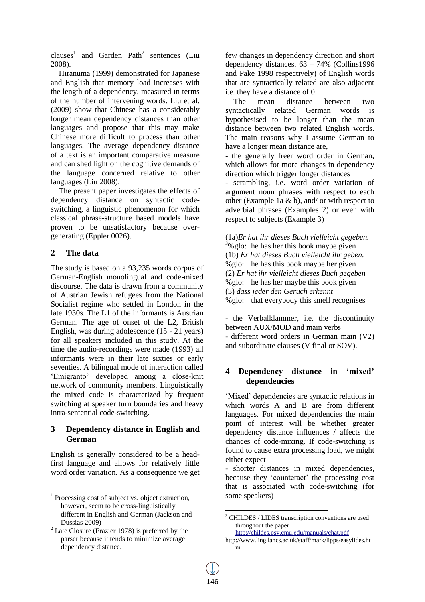clauses<sup>1</sup> and Garden Path<sup>2</sup> sentences (Liu 2008).

Hiranuma (1999) demonstrated for Japanese and English that memory load increases with the length of a dependency, measured in terms of the number of intervening words. Liu et al. (2009) show that Chinese has a considerably longer mean dependency distances than other languages and propose that this may make Chinese more difficult to process than other languages. The average dependency distance of a text is an important comparative measure and can shed light on the cognitive demands of the language concerned relative to other languages (Liu 2008).

The present paper investigates the effects of dependency distance on syntactic codeswitching, a linguistic phenomenon for which classical phrase-structure based models have proven to be unsatisfactory because overgenerating (Eppler 0026).

### **2 The data**

 $\overline{a}$ 

The study is based on a 93,235 words corpus of German-English monolingual and code-mixed discourse. The data is drawn from a community of Austrian Jewish refugees from the National Socialist regime who settled in London in the late 1930s. The L1 of the informants is Austrian German. The age of onset of the L2, British English, was during adolescence (15 - 21 years) for all speakers included in this study. At the time the audio-recordings were made (1993) all informants were in their late sixties or early seventies. A bilingual mode of interaction called 'Emigranto' developed among a close-knit network of community members. Linguistically the mixed code is characterized by frequent switching at speaker turn boundaries and heavy intra-sentential code-switching.

### **3 Dependency distance in English and German**

English is generally considered to be a headfirst language and allows for relatively little word order variation. As a consequence we get few changes in dependency direction and short dependency distances. 63 – 74% (Collins1996 and Pake 1998 respectively) of English words that are syntactically related are also adjacent i.e. they have a distance of 0.

The mean distance between two syntactically related German words is hypothesised to be longer than the mean distance between two related English words. The main reasons why I assume German to have a longer mean distance are,

- the generally freer word order in German, which allows for more changes in dependency direction which trigger longer distances

- scrambling, i.e. word order variation of argument noun phrases with respect to each other (Example 1a & b), and/ or with respect to adverbial phrases (Examples 2) or even with respect to subjects (Example 3)

(1a)*Er hat ihr dieses Buch vielleicht gegeben.*  $3\%$  glo: he has her this book maybe given (1b) *Er hat dieses Buch vielleicht ihr geben.* %glo: he has this book maybe her given (2) *Er hat ihr vielleicht dieses Buch gegeben* %glo: he has her maybe this book given (3) *dass jeder den Geruch erkennt* %glo: that everybody this smell recognises

- the Verbalklammer, i.e. the discontinuity between AUX/MOD and main verbs - different word orders in German main (V2) and subordinate clauses (V final or SOV).

# **4 Dependency distance in 'mixed' dependencies**

'Mixed' dependencies are syntactic relations in which words A and B are from different languages. For mixed dependencies the main point of interest will be whether greater dependency distance influences / affects the chances of code-mixing. If code-switching is found to cause extra processing load, we might either expect

- shorter distances in mixed dependencies, because they 'counteract' the processing cost that is associated with code-switching (for some speakers)

http://childes.psy.cmu.edu/manuals/chat.pdf

l

<sup>&</sup>lt;sup>1</sup> Processing cost of subject vs. object extraction, however, seem to be cross-linguistically different in English and German (Jackson and Dussias 2009)

 $2$  Late Closure (Frazier 1978) is preferred by the parser because it tends to minimize average dependency distance.

<sup>&</sup>lt;sup>3</sup> CHILDES / LIDES transcription conventions are used throughout the paper

http://www.ling.lancs.ac.uk/staff/mark/lipps/easylides.ht m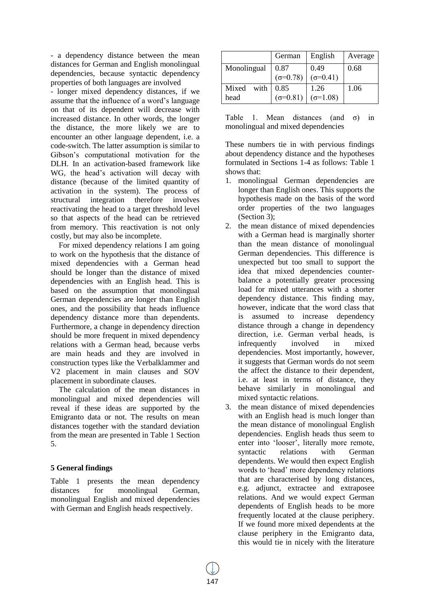- a dependency distance between the mean distances for German and English monolingual dependencies, because syntactic dependency properties of both languages are involved

- longer mixed dependency distances, if we assume that the influence of a word's language on that of its dependent will decrease with increased distance. In other words, the longer the distance, the more likely we are to encounter an other language dependent, i.e. a code-switch. The latter assumption is similar to Gibson's computational motivation for the DLH. In an activation-based framework like WG, the head's activation will decay with distance (because of the limited quantity of activation in the system). The process of structural integration therefore involves reactivating the head to a target threshold level so that aspects of the head can be retrieved from memory. This reactivation is not only costly, but may also be incomplete.

For mixed dependency relations I am going to work on the hypothesis that the distance of mixed dependencies with a German head should be longer than the distance of mixed dependencies with an English head. This is based on the assumption that monolingual German dependencies are longer than English ones, and the possibility that heads influence dependency distance more than dependents. Furthermore, a change in dependency direction should be more frequent in mixed dependency relations with a German head, because verbs are main heads and they are involved in construction types like the Verbalklammer and V2 placement in main clauses and SOV placement in subordinate clauses.

The calculation of the mean distances in monolingual and mixed dependencies will reveal if these ideas are supported by the Emigranto data or not. The results on mean distances together with the standard deviation from the mean are presented in Table 1 Section 5.

### **5 General findings**

Table 1 presents the mean dependency distances for monolingual German, monolingual English and mixed dependencies with German and English heads respectively.

|                    | German                    | English                   | Average |  |
|--------------------|---------------------------|---------------------------|---------|--|
| Monolingual        | 0.87<br>$(\sigma = 0.78)$ | 0.49<br>$(\sigma = 0.41)$ |         |  |
| Mixed with<br>head | 0.85<br>$(\sigma = 0.81)$ | 1.26<br>$(\sigma=1.08)$   | 1.06    |  |

|  | Table 1. Mean distances (and $\sigma$ ) in |  |  |
|--|--------------------------------------------|--|--|
|  | monolingual and mixed dependencies         |  |  |

These numbers tie in with pervious findings about dependency distance and the hypotheses formulated in Sections 1-4 as follows: Table 1 shows that:

- 1. monolingual German dependencies are longer than English ones. This supports the hypothesis made on the basis of the word order properties of the two languages (Section 3);
- 2. the mean distance of mixed dependencies with a German head is marginally shorter than the mean distance of monolingual German dependencies. This difference is unexpected but too small to support the idea that mixed dependencies counterbalance a potentially greater processing load for mixed utterances with a shorter dependency distance. This finding may, however, indicate that the word class that is assumed to increase dependency distance through a change in dependency direction, i.e. German verbal heads, is infrequently involved in mixed dependencies. Most importantly, however, it suggests that German words do not seem the affect the distance to their dependent, i.e. at least in terms of distance, they behave similarly in monolingual and mixed syntactic relations.
- 3. the mean distance of mixed dependencies with an English head is much longer than the mean distance of monolingual English dependencies. English heads thus seem to enter into 'looser', literally more remote, syntactic relations with German dependents. We would then expect English words to 'head' more dependency relations that are characterised by long distances, e.g. adjunct, extractee and extraposee relations. And we would expect German dependents of English heads to be more frequently located at the clause periphery. If we found more mixed dependents at the clause periphery in the Emigranto data, this would tie in nicely with the literature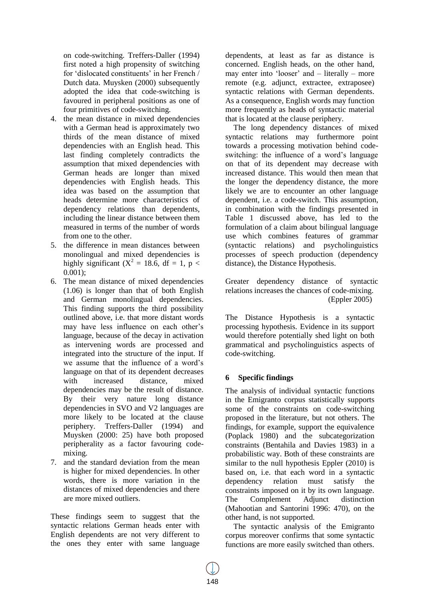on code-switching. Treffers-Daller (1994) first noted a high propensity of switching for 'dislocated constituents' in her French / Dutch data. Muysken (2000) subsequently adopted the idea that code-switching is favoured in peripheral positions as one of four primitives of code-switching.

- 4. the mean distance in mixed dependencies with a German head is approximately two thirds of the mean distance of mixed dependencies with an English head. This last finding completely contradicts the assumption that mixed dependencies with German heads are longer than mixed dependencies with English heads. This idea was based on the assumption that heads determine more characteristics of dependency relations than dependents, including the linear distance between them measured in terms of the number of words from one to the other.
- 5. the difference in mean distances between monolingual and mixed dependencies is highly significant ( $X^2 = 18.6$ , df = 1, p < 0.001);
- 6. The mean distance of mixed dependencies (1.06) is longer than that of both English and German monolingual dependencies. This finding supports the third possibility outlined above, i.e. that more distant words may have less influence on each other's language, because of the decay in activation as intervening words are processed and integrated into the structure of the input. If we assume that the influence of a word's language on that of its dependent decreases with increased distance, mixed dependencies may be the result of distance. By their very nature long distance dependencies in SVO and V2 languages are more likely to be located at the clause periphery. Treffers-Daller (1994) and Muysken (2000: 25) have both proposed peripherality as a factor favouring codemixing.
- 7. and the standard deviation from the mean is higher for mixed dependencies. In other words, there is more variation in the distances of mixed dependencies and there are more mixed outliers.

These findings seem to suggest that the syntactic relations German heads enter with English dependents are not very different to the ones they enter with same language dependents, at least as far as distance is concerned. English heads, on the other hand, may enter into 'looser' and – literally – more remote (e.g. adjunct, extractee, extraposee) syntactic relations with German dependents. As a consequence, English words may function more frequently as heads of syntactic material that is located at the clause periphery.

The long dependency distances of mixed syntactic relations may furthermore point towards a processing motivation behind codeswitching: the influence of a word's language on that of its dependent may decrease with increased distance. This would then mean that the longer the dependency distance, the more likely we are to encounter an other language dependent, i.e. a code-switch. This assumption, in combination with the findings presented in Table 1 discussed above, has led to the formulation of a claim about bilingual language use which combines features of grammar (syntactic relations) and psycholinguistics processes of speech production (dependency distance), the Distance Hypothesis.

Greater dependency distance of syntactic relations increases the chances of code-mixing. (Eppler 2005)

The Distance Hypothesis is a syntactic processing hypothesis. Evidence in its support would therefore potentially shed light on both grammatical and psycholinguistics aspects of code-switching.

### **6 Specific findings**

The analysis of individual syntactic functions in the Emigranto corpus statistically supports some of the constraints on code-switching proposed in the literature, but not others. The findings, for example, support the equivalence (Poplack 1980) and the subcategorization constraints (Bentahila and Davies 1983) in a probabilistic way. Both of these constraints are similar to the null hypothesis Eppler (2010) is based on, i.e. that each word in a syntactic dependency relation must satisfy the constraints imposed on it by its own language. The Complement Adjunct distinction (Mahootian and Santorini 1996: 470), on the other hand, is not supported.

The syntactic analysis of the Emigranto corpus moreover confirms that some syntactic functions are more easily switched than others.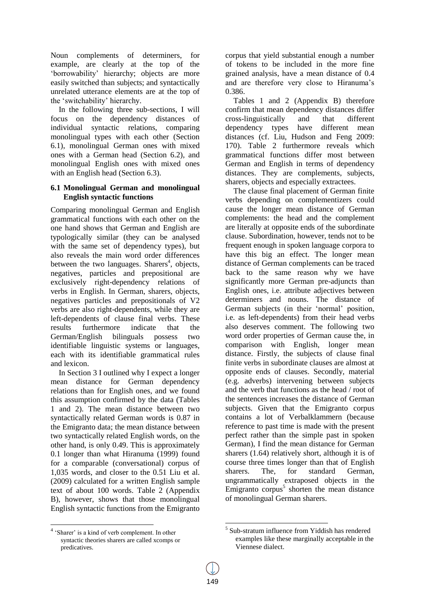Noun complements of determiners, for example, are clearly at the top of the 'borrowability' hierarchy; objects are more easily switched than subjects; and syntactically unrelated utterance elements are at the top of the 'switchability' hierarchy.

In the following three sub-sections, I will focus on the dependency distances of individual syntactic relations, comparing monolingual types with each other (Section 6.1), monolingual German ones with mixed ones with a German head (Section 6.2), and monolingual English ones with mixed ones with an English head (Section 6.3).

#### **6.1 Monolingual German and monolingual English syntactic functions**

Comparing monolingual German and English grammatical functions with each other on the one hand shows that German and English are typologically similar (they can be analysed with the same set of dependency types), but also reveals the main word order differences between the two languages. Sharers<sup>4</sup>, objects, negatives, particles and prepositional are exclusively right-dependency relations of verbs in English. In German, sharers, objects, negatives particles and prepositionals of V2 verbs are also right-dependents, while they are left-dependents of clause final verbs. These results furthermore indicate that the German/English bilinguals possess two identifiable linguistic systems or languages, each with its identifiable grammatical rules and lexicon.

In Section 3 I outlined why I expect a longer mean distance for German dependency relations than for English ones, and we found this assumption confirmed by the data (Tables 1 and 2). The mean distance between two syntactically related German words is 0.87 in the Emigranto data; the mean distance between two syntactically related English words, on the other hand, is only 0.49. This is approximately 0.1 longer than what Hiranuma (1999) found for a comparable (conversational) corpus of 1,035 words, and closer to the 0.51 Liu et al. (2009) calculated for a written English sample text of about 100 words. Table 2 (Appendix B), however, shows that those monolingual English syntactic functions from the Emigranto corpus that yield substantial enough a number of tokens to be included in the more fine grained analysis, have a mean distance of 0.4 and are therefore very close to Hiranuma's 0.386.

Tables 1 and 2 (Appendix B) therefore confirm that mean dependency distances differ cross-linguistically and that different dependency types have different mean distances (cf. Liu, Hudson and Feng 2009: 170). Table 2 furthermore reveals which grammatical functions differ most between German and English in terms of dependency distances. They are complements, subjects, sharers, objects and especially extractees.

The clause final placement of German finite verbs depending on complementizers could cause the longer mean distance of German complements: the head and the complement are literally at opposite ends of the subordinate clause. Subordination, however, tends not to be frequent enough in spoken language corpora to have this big an effect. The longer mean distance of German complements can be traced back to the same reason why we have significantly more German pre-adjuncts than English ones, i.e. attribute adjectives between determiners and nouns. The distance of German subjects (in their 'normal' position, i.e. as left-dependents) from their head verbs also deserves comment. The following two word order properties of German cause the, in comparison with English, longer mean distance. Firstly, the subjects of clause final finite verbs in subordinate clauses are almost at opposite ends of clauses. Secondly, material (e.g. adverbs) intervening between subjects and the verb that functions as the head / root of the sentences increases the distance of German subjects. Given that the Emigranto corpus contains a lot of Verbalklammern (because reference to past time is made with the present perfect rather than the simple past in spoken German), I find the mean distance for German sharers (1.64) relatively short, although it is of course three times longer than that of English sharers. The, for standard German, ungrammatically extraposed objects in the Emigranto corpus<sup>5</sup> shorten the mean distance of monolingual German sharers.

 $\overline{a}$ 

l

<sup>4</sup> 'Sharer' is a kind of verb complement. In other syntactic theories sharers are called xcomps or predicatives.

<sup>5</sup> Sub-stratum influence from Yiddish has rendered examples like these marginally acceptable in the Viennese dialect.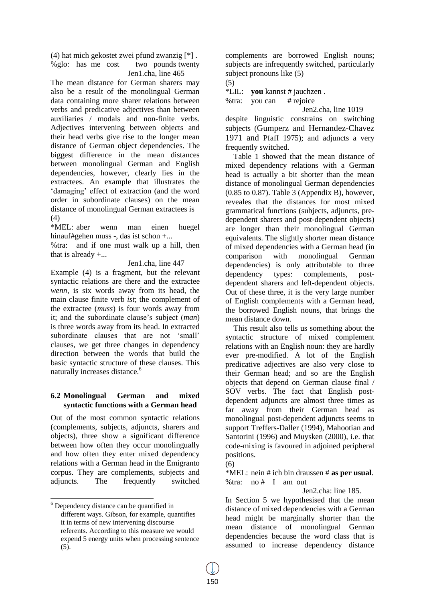(4) hat mich gekostet zwei pfund zwanzig [\*] . %glo: has me cost two pounds twenty Jen1.cha, line 465

The mean distance for German sharers may also be a result of the monolingual German data containing more sharer relations between verbs and predicative adjectives than between auxiliaries / modals and non-finite verbs. Adjectives intervening between objects and their head verbs give rise to the longer mean distance of German object dependencies. The biggest difference in the mean distances between monolingual German and English dependencies, however, clearly lies in the extractees. An example that illustrates the 'damaging' effect of extraction (and the word order in subordinate clauses) on the mean distance of monolingual German extractees is (4)

\*MEL: aber wenn man einen huegel hinauf#gehen muss -, das ist schon +...

%tra: and if one must walk up a hill, then that is already  $+...$ 

Jen1.cha, line 447

Example (4) is a fragment, but the relevant syntactic relations are there and the extractee *wenn,* is six words away from its head, the main clause finite verb *ist*; the complement of the extractee (*muss*) is four words away from it; and the subordinate clause's subject (*man*) is three words away from its head. In extracted subordinate clauses that are not 'small' clauses, we get three changes in dependency direction between the words that build the basic syntactic structure of these clauses. This naturally increases distance.<sup>6</sup>

# **6.2 Monolingual German and mixed syntactic functions with a German head**

Out of the most common syntactic relations (complements, subjects, adjuncts, sharers and objects), three show a significant difference between how often they occur monolingually and how often they enter mixed dependency relations with a German head in the Emigranto corpus. They are complements, subjects and adjuncts. The frequently switched

l

complements are borrowed English nouns; subjects are infrequently switched, particularly subject pronouns like (5)

(5)

\*LIL: **you** kannst # jauchzen .

%tra: you can # rejoice

Jen2.cha, line 1019 despite linguistic constrains on switching subjects (Gumperz and Hernandez-Chavez 1971 and Pfaff 1975); and adjuncts a very frequently switched.

Table 1 showed that the mean distance of mixed dependency relations with a German head is actually a bit shorter than the mean distance of monolingual German dependencies (0.85 to 0.87). Table 3 (Appendix B), however, reveales that the distances for most mixed grammatical functions (subjects, adjuncts, predependent sharers and post-dependent objects) are longer than their monolingual German equivalents. The slightly shorter mean distance of mixed dependencies with a German head (in comparison with monolingual German dependencies) is only attributable to three dependency types: complements, postdependent sharers and left-dependent objects. Out of these three, it is the very large number of English complements with a German head, the borrowed English nouns, that brings the mean distance down.

This result also tells us something about the syntactic structure of mixed complement relations with an English noun: they are hardly ever pre-modified. A lot of the English predicative adjectives are also very close to their German head; and so are the English objects that depend on German clause final / SOV verbs. The fact that English postdependent adjuncts are almost three times as far away from their German head as monolingual post-dependent adjuncts seems to support Treffers-Daller (1994), Mahootian and Santorini (1996) and Muysken (2000), i.e. that code-mixing is favoured in adjoined peripheral positions.

(6)

\*MEL: nein # ich bin draussen # **as per usual**. %tra: no # I am out

Jen2.cha: line 185.

In Section 5 we hypothesised that the mean distance of mixed dependencies with a German head might be marginally shorter than the mean distance of monolingual German dependencies because the word class that is assumed to increase dependency distance

 $6$  Dependency distance can be quantified in different ways. Gibson, for example, quantifies it in terms of new intervening discourse referents. According to this measure we would expend 5 energy units when processing sentence (5).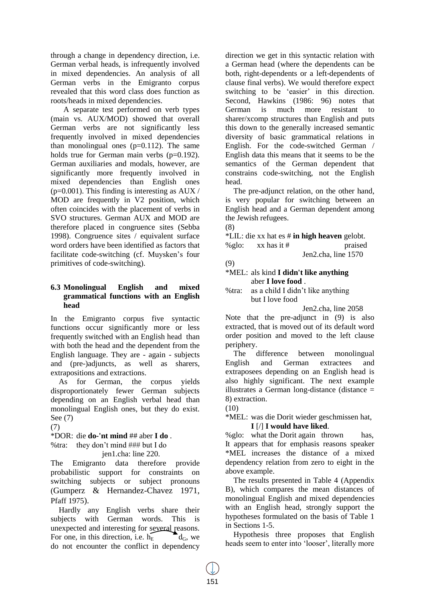through a change in dependency direction, i.e. German verbal heads, is infrequently involved in mixed dependencies. An analysis of all German verbs in the Emigranto corpus revealed that this word class does function as roots/heads in mixed dependencies.

A separate test performed on verb types (main vs. AUX/MOD) showed that overall German verbs are not significantly less frequently involved in mixed dependencies than monolingual ones  $(p=0.112)$ . The same holds true for German main verbs (p=0.192). German auxiliaries and modals, however, are significantly more frequently involved in mixed dependencies than English ones ( $p=0.001$ ). This finding is interesting as AUX / MOD are frequently in V2 position, which often coincides with the placement of verbs in SVO structures. German AUX and MOD are therefore placed in congruence sites (Sebba 1998). Congruence sites / equivalent surface word orders have been identified as factors that facilitate code-switching (cf. Muysken's four primitives of code-switching).

### **6.3 Monolingual English and mixed grammatical functions with an English head**

In the Emigranto corpus five syntactic functions occur significantly more or less frequently switched with an English head than with both the head and the dependent from the English language. They are - again - subjects and (pre-)adjuncts, as well as sharers, extrapositions and extractions.

As for German, the corpus yields disproportionately fewer German subjects depending on an English verbal head than monolingual English ones, but they do exist. See (7)

(7)

\*DOR: die **do-'nt mind** ## aber **I do** . %tra: they don't mind ### but I do

#### jen1.cha: line 220.

The Emigranto data therefore provide probabilistic support for constraints on switching subjects or subject pronouns (Gumperz & Hernandez-Chavez 1971, Pfaff 1975).

Hardly any English verbs share their subjects with German words. This is unexpected and interesting for several reasons. For one, in this direction, i.e.  $h_{\rm E} = \begin{bmatrix} d_{\rm G}, & \text{we} \end{bmatrix}$ do not encounter the conflict in dependency direction we get in this syntactic relation with a German head (where the dependents can be both, right-dependents or a left-dependents of clause final verbs). We would therefore expect switching to be 'easier' in this direction. Second, Hawkins (1986: 96) notes that German is much more resistant to sharer/xcomp structures than English and puts this down to the generally increased semantic diversity of basic grammatical relations in English. For the code-switched German / English data this means that it seems to be the semantics of the German dependent that constrains code-switching, not the English head.

The pre-adjunct relation, on the other hand, is very popular for switching between an English head and a German dependent among the Jewish refugees.

(8)

\*LIL: die xx hat es # **in high heaven** gelobt. % glo:  $xx$  has it # praised Jen2.cha, line 1570

(9)

#### \*MEL: als kind **I didn't like anything** aber **I love food** .

%tra: as a child I didn't like anything but I love food

Jen2.cha, line 2058

Note that the pre-adjunct in (9) is also extracted, that is moved out of its default word order position and moved to the left clause periphery.

The difference between monolingual English and German extractees and extraposees depending on an English head is also highly significant. The next example illustrates a German long-distance (distance  $=$ 8) extraction.

(10)

\*MEL: was die Dorit wieder geschmissen hat,

# **I** [/] **I would have liked**.

%glo: what the Dorit again thrown has, It appears that for emphasis reasons speaker \*MEL increases the distance of a mixed dependency relation from zero to eight in the above example.

The results presented in Table 4 (Appendix B), which compares the mean distances of monolingual English and mixed dependencies with an English head, strongly support the hypotheses formulated on the basis of Table 1 in Sections 1-5.

Hypothesis three proposes that English heads seem to enter into 'looser', literally more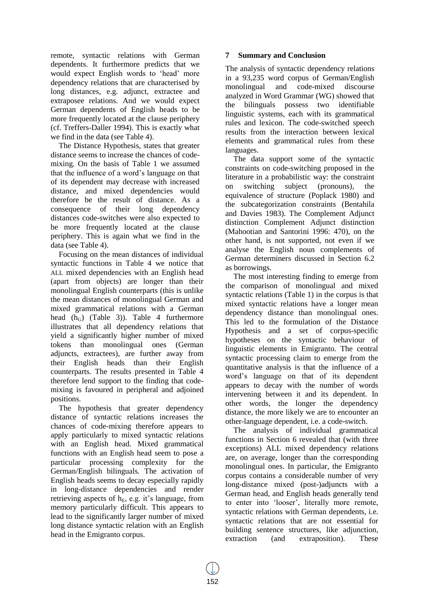remote, syntactic relations with German dependents. It furthermore predicts that we would expect English words to 'head' more dependency relations that are characterised by long distances, e.g. adjunct, extractee and extraposee relations. And we would expect German dependents of English heads to be more frequently located at the clause periphery (cf. Treffers-Daller 1994). This is exactly what we find in the data (see Table 4).

The Distance Hypothesis, states that greater distance seems to increase the chances of codemixing. On the basis of Table 1 we assumed that the influence of a word's language on that of its dependent may decrease with increased distance, and mixed dependencies would therefore be the result of distance. As a consequence of their long dependency distances code-switches were also expected to be more frequently located at the clause periphery. This is again what we find in the data (see Table 4).

Focusing on the mean distances of individual syntactic functions in Table 4 we notice that ALL mixed dependencies with an English head (apart from objects) are longer than their monolingual English counterparts (this is unlike the mean distances of monolingual German and mixed grammatical relations with a German head  $(h_G)$  (Table 3)). Table 4 furthermore illustrates that all dependency relations that yield a significantly higher number of mixed tokens than monolingual ones (German adjuncts, extractees), are further away from their English heads than their English counterparts. The results presented in Table 4 therefore lend support to the finding that codemixing is favoured in peripheral and adjoined positions.

The hypothesis that greater dependency distance of syntactic relations increases the chances of code-mixing therefore appears to apply particularly to mixed syntactic relations with an English head. Mixed grammatical functions with an English head seem to pose a particular processing complexity for the German/English bilinguals. The activation of English heads seems to decay especially rapidly in long-distance dependencies and render retrieving aspects of  $h_E$ , e.g. it's language, from memory particularly difficult. This appears to lead to the significantly larger number of mixed long distance syntactic relation with an English head in the Emigranto corpus.

# **7 Summary and Conclusion**

The analysis of syntactic dependency relations in a 93,235 word corpus of German/English monolingual and code-mixed discourse analyzed in Word Grammar (WG) showed that the bilinguals possess two identifiable linguistic systems, each with its grammatical rules and lexicon. The code-switched speech results from the interaction between lexical elements and grammatical rules from these languages.

The data support some of the syntactic constraints on code-switching proposed in the literature in a probabilistic way: the constraint on switching subject (pronouns), the equivalence of structure (Poplack 1980) and the subcategorization constraints (Bentahila and Davies 1983). The Complement Adjunct distinction Complement Adjunct distinction (Mahootian and Santorini 1996: 470), on the other hand, is not supported, not even if we analyse the English noun complements of German determiners discussed in Section 6.2 as borrowings.

The most interesting finding to emerge from the comparison of monolingual and mixed syntactic relations (Table 1) in the corpus is that mixed syntactic relations have a longer mean dependency distance than monolingual ones. This led to the formulation of the Distance Hypothesis and a set of corpus-specific hypotheses on the syntactic behaviour of linguistic elements in Emigranto. The central syntactic processing claim to emerge from the quantitative analysis is that the influence of a word's language on that of its dependent appears to decay with the number of words intervening between it and its dependent. In other words, the longer the dependency distance, the more likely we are to encounter an other-language dependent, i.e. a code-switch.

The analysis of individual grammatical functions in Section 6 revealed that (with three exceptions) ALL mixed dependency relations are, on average, longer than the corresponding monolingual ones. In particular, the Emigranto corpus contains a considerable number of very long-distance mixed (post-)adjuncts with a German head, and English heads generally tend to enter into 'looser', literally more remote, syntactic relations with German dependents, i.e. syntactic relations that are not essential for building sentence structures, like adjunction, extraction (and extraposition). These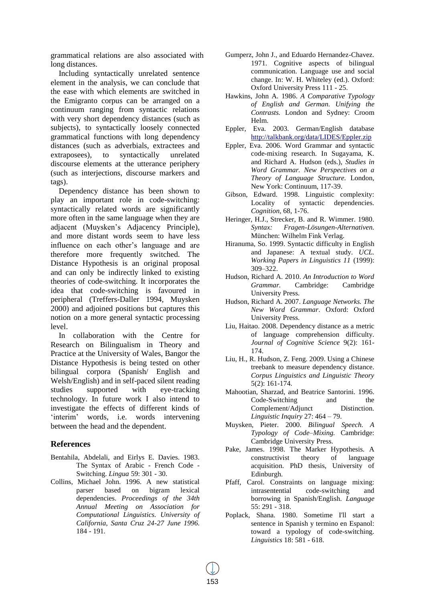grammatical relations are also associated with long distances.

Including syntactically unrelated sentence element in the analysis, we can conclude that the ease with which elements are switched in the Emigranto corpus can be arranged on a continuum ranging from syntactic relations with very short dependency distances (such as subjects), to syntactically loosely connected grammatical functions with long dependency distances (such as adverbials, extractees and extraposees), to syntactically unrelated discourse elements at the utterance periphery (such as interjections, discourse markers and tags).

Dependency distance has been shown to play an important role in code-switching: syntactically related words are significantly more often in the same language when they are adjacent (Muysken's Adjacency Principle), and more distant words seem to have less influence on each other's language and are therefore more frequently switched. The Distance Hypothesis is an original proposal and can only be indirectly linked to existing theories of code-switching. It incorporates the idea that code-switching is favoured in peripheral (Treffers-Daller 1994, Muysken 2000) and adjoined positions but captures this notion on a more general syntactic processing level.

In collaboration with the Centre for Research on Bilingualism in Theory and Practice at the University of Wales, Bangor the Distance Hypothesis is being tested on other bilingual corpora (Spanish/ English and Welsh/English) and in self-paced silent reading studies supported with eye-tracking technology. In future work I also intend to investigate the effects of different kinds of 'interim' words, i.e. words intervening between the head and the dependent.

#### **References**

- Bentahila, Abdelali, and Eirlys E. Davies. 1983. The Syntax of Arabic - French Code - Switching. *Lingua* 59: 301 - 30.
- Collins, Michael John. 1996. A new statistical parser based on bigram lexical dependencies. *Proceedings of the 34th Annual Meeting on Association for Computational Linguistics. University of California, Santa Cruz 24-27 June 1996.* 184 - 191.
- Gumperz, John J., and Eduardo Hernandez-Chavez. 1971. Cognitive aspects of bilingual communication. Language use and social change. In: W. H. Whiteley (ed.). Oxford: Oxford University Press 111 - 25.
- Hawkins, John A. 1986. *A Comparative Typology of English and German. Unifying the Contrasts.* London and Sydney: Croom Helm.
- Eppler, Eva. 2003. German/English database http://talkbank.org/data/LIDES/Eppler.zip
- Eppler, Eva. 2006. Word Grammar and syntactic code-mixing research. In Sugayama, K. and Richard A. Hudson (eds.), *Studies in Word Grammar. New Perspectives on a Theory of Language Structure.* London, New York: Continuum, 117-39.
- Gibson, Edward. 1998. Linguistic complexity: Locality of syntactic dependencies. *Cognition,* 68, 1-76.
- Heringer, H.J., Strecker, B. and R. Wimmer. 1980. *Syntax: Fragen-Lösungen-Alternativen.* München: Wilhelm Fink Verlag.
- Hiranuma, So. 1999. Syntactic difficulty in English and Japanese: A textual study. *UCL. Working Papers in Linguistics 11* (1999): 309–322.
- Hudson, Richard A. 2010. *An Introduction to Word Grammar.* Cambridge: Cambridge University Press.
- Hudson, Richard A. 2007. *Language Networks. The New Word Grammar*. Oxford: Oxford University Press.
- Liu, Haitao. 2008. Dependency distance as a metric of language comprehension difficulty. *Journal of Cognitive Science* 9(2): 161- 174.
- Liu, H., R. Hudson, Z. Feng. 2009. Using a Chinese treebank to measure dependency distance. *Corpus Linguistics and Linguistic Theory* 5(2): 161-174.
- Mahootian, Sharzad, and Beatrice Santorini. 1996. Code-Switching and the Complement/Adjunct Distinction. *Linguistic Inquiry* 27: 464 – 79.
- Muysken, Pieter. 2000. *Bilingual Speech. A Typology of Code–Mixing.* Cambridge: Cambridge University Press.
- Pake, James. 1998. The Marker Hypothesis. A constructivist theory of language acquisition. PhD thesis, University of Edinburgh.
- Pfaff, Carol. Constraints on language mixing: intrasentential code-switching and borrowing in Spanish/English. *Language* 55: 291 - 318.
- Poplack, Shana. 1980. Sometime I'll start a sentence in Spanish y termino en Espanol: toward a typology of code-switching. *Linguistics* 18: 581 - 618.